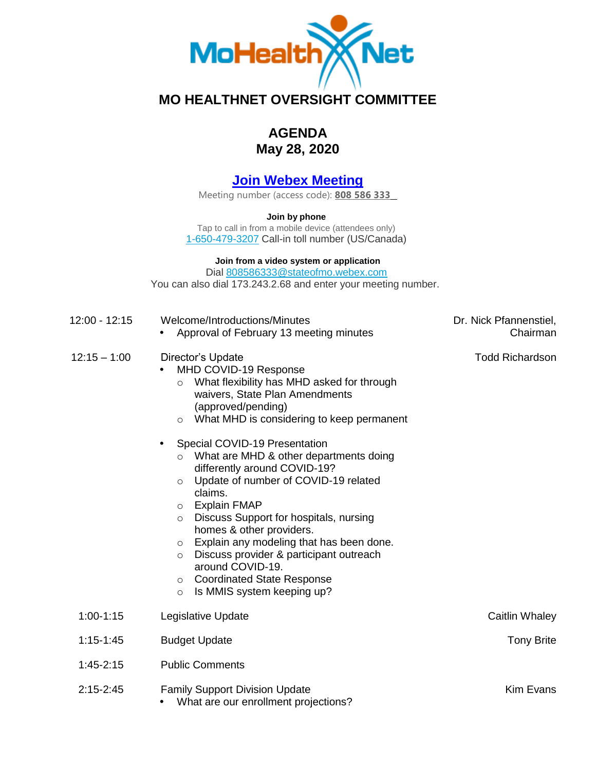

## **MO HEALTHNET OVERSIGHT COMMITTEE**

## **AGENDA May 28, 2020**

## **[Join Webex Meeting](https://stateofmo.webex.com/stateofmo/j.php?MTID=m6cac29a75465811c41209df0cdac68e8)**

Meeting number (access code): **808 586 333** 

**Join by phone** 

Tap to call in from a mobile device (attendees only) [1-650-479-3207](tel:%2B1-650-479-3207,,*01*808586333%23%23*01*) Call-in toll number (US/Canada)

## **Join from a video system or application**

Dial [808586333@stateofmo.webex.com](sip:808586333@stateofmo.webex.com)  You can also dial [173.243.2.68](https://173.243.2.68) and enter your meeting number.

| 12:00 - 12:15  | Welcome/Introductions/Minutes<br>Approval of February 13 meeting minutes                                                                                                                                                                                                                                                                                                                                                                                                                                                                                                                                                                                                                                                                                          | Dr. Nick Pfannenstiel,<br>Chairman |
|----------------|-------------------------------------------------------------------------------------------------------------------------------------------------------------------------------------------------------------------------------------------------------------------------------------------------------------------------------------------------------------------------------------------------------------------------------------------------------------------------------------------------------------------------------------------------------------------------------------------------------------------------------------------------------------------------------------------------------------------------------------------------------------------|------------------------------------|
| $12:15 - 1:00$ | Director's Update<br>MHD COVID-19 Response<br>What flexibility has MHD asked for through<br>$\circ$<br>waivers, State Plan Amendments<br>(approved/pending)<br>What MHD is considering to keep permanent<br>$\circ$<br>Special COVID-19 Presentation<br>$\bullet$<br>What are MHD & other departments doing<br>$\circ$<br>differently around COVID-19?<br>Update of number of COVID-19 related<br>$\circ$<br>claims.<br><b>Explain FMAP</b><br>$\circ$<br>Discuss Support for hospitals, nursing<br>$\circ$<br>homes & other providers.<br>Explain any modeling that has been done.<br>$\circ$<br>Discuss provider & participant outreach<br>$\circ$<br>around COVID-19.<br><b>Coordinated State Response</b><br>$\circ$<br>Is MMIS system keeping up?<br>$\circ$ | <b>Todd Richardson</b>             |
| $1:00-1:15$    | Legislative Update                                                                                                                                                                                                                                                                                                                                                                                                                                                                                                                                                                                                                                                                                                                                                | Caitlin Whaley                     |
| $1:15 - 1:45$  | <b>Budget Update</b>                                                                                                                                                                                                                                                                                                                                                                                                                                                                                                                                                                                                                                                                                                                                              | <b>Tony Brite</b>                  |
| $1:45-2:15$    | <b>Public Comments</b>                                                                                                                                                                                                                                                                                                                                                                                                                                                                                                                                                                                                                                                                                                                                            |                                    |
| $2:15 - 2:45$  | <b>Family Support Division Update</b><br>What are our enrollment projections?                                                                                                                                                                                                                                                                                                                                                                                                                                                                                                                                                                                                                                                                                     | <b>Kim Evans</b>                   |